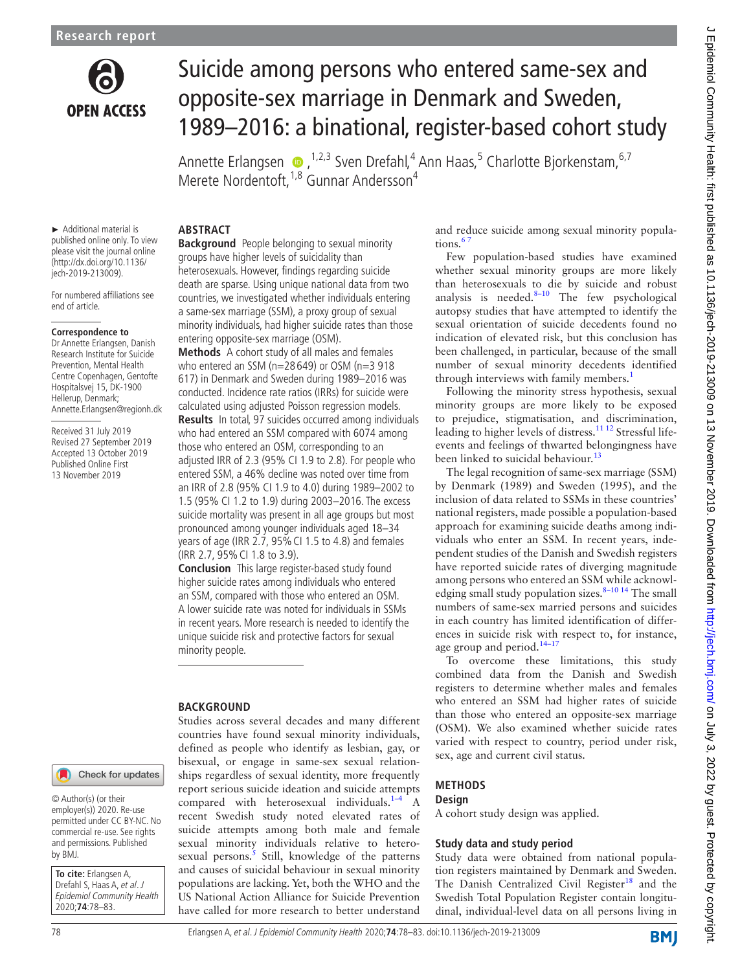

# Suicide among persons who entered same-sex and opposite-sex marriage in Denmark and Sweden, 1989–2016: a binational, register-based cohort study

AnnetteErlangsen  $\bullet$ , <sup>1,2,3</sup> Sven Drefahl,<sup>4</sup> Ann Haas,<sup>5</sup> Charlotte Bjorkenstam, <sup>6,7</sup> Merete Nordentoft,<sup>1,8</sup> Gunnar Andersson<sup>4</sup>

► Additional material is published online only. To view please visit the journal online (http://dx.doi.org/10.1136/ jech-2019-213009).

For numbered affiliations see end of article.

#### **Correspondence to**

Dr Annette Erlangsen, Danish Research Institute for Suicide Prevention, Mental Health Centre Copenhagen, Gentofte Hospitalsvej 15, DK-1900 Hellerup, Denmark; Annette.Erlangsen@regionh.dk

Received 31 July 2019 Revised 27 September 2019 Accepted 13 October 2019 Published Online First 13 November 2019

# **ABSTRACT**

**Background** People belonging to sexual minority groups have higher levels of suicidality than heterosexuals. However, findings regarding suicide death are sparse. Using unique national data from two countries, we investigated whether individuals entering a same-sex marriage (SSM), a proxy group of sexual minority individuals, had higher suicide rates than those entering opposite-sex marriage (OSM).

**Methods** A cohort study of all males and females who entered an SSM (n=28 649) or OSM (n=3 918 617) in Denmark and Sweden during 1989–2016 was conducted. Incidence rate ratios (IRRs) for suicide were calculated using adjusted Poisson regression models.

**Results** In total, 97 suicides occurred among individuals who had entered an SSM compared with 6074 among those who entered an OSM, corresponding to an adjusted IRR of 2.3 (95% CI 1.9 to 2.8). For people who entered SSM, a 46% decline was noted over time from an IRR of 2.8 (95% CI 1.9 to 4.0) during 1989–2002 to 1.5 (95% CI 1.2 to 1.9) during 2003–2016. The excess suicide mortality was present in all age groups but most pronounced among younger individuals aged 18–34 years of age (IRR 2.7, 95% CI 1.5 to 4.8) and females (IRR 2.7, 95%CI 1.8 to 3.9).

**Conclusion** This large register-based study found higher suicide rates among individuals who entered an SSM, compared with those who entered an OSM. A lower suicide rate was noted for individuals in SSMs in recent years. More research is needed to identify the unique suicide risk and protective factors for sexual minority people.

## **BACKGROUND**

Studies across several decades and many different countries have found sexual minority individuals, defined as people who identify as lesbian, gay, or bisexual, or engage in same-sex sexual relationships regardless of sexual identity, more frequently report serious suicide ideation and suicide attempts compared with heterosexual individuals. $1-4$  A recent Swedish study noted elevated rates of suicide attempts among both male and female sexual minority individuals relative to hetero-sexual persons.<sup>[5](#page-5-1)</sup> Still, knowledge of the patterns and causes of suicidal behaviour in sexual minority populations are lacking. Yet, both the WHO and the US National Action Alliance for Suicide Prevention have called for more research to better understand

and reduce suicide among sexual minority populations.<sup>6</sup>

Few population-based studies have examined whether sexual minority groups are more likely than heterosexuals to die by suicide and robust analysis is needed. $8-10$  The few psychological autopsy studies that have attempted to identify the sexual orientation of suicide decedents found no indication of elevated risk, but this conclusion has been challenged, in particular, because of the small number of sexual minority decedents identified through interviews with family members.<sup>[1](#page-5-0)</sup>

Following the minority stress hypothesis, sexual minority groups are more likely to be exposed to prejudice, stigmatisation, and discrimination, leading to higher levels of distress.<sup>11 12</sup> Stressful lifeevents and feelings of thwarted belongingness have been linked to suicidal behaviour.<sup>[13](#page-5-5)</sup>

The legal recognition of same-sex marriage (SSM) by Denmark (1989) and Sweden (1995), and the inclusion of data related to SSMs in these countries' national registers, made possible a population-based approach for examining suicide deaths among individuals who enter an SSM. In recent years, independent studies of the Danish and Swedish registers have reported suicide rates of diverging magnitude among persons who entered an SSM while acknowledging small study population sizes. $8-1014$  The small numbers of same-sex married persons and suicides in each country has limited identification of differences in suicide risk with respect to, for instance, age group and period.<sup>14-17</sup>

To overcome these limitations, this study combined data from the Danish and Swedish registers to determine whether males and females who entered an SSM had higher rates of suicide than those who entered an opposite-sex marriage (OSM). We also examined whether suicide rates varied with respect to country, period under risk, sex, age and current civil status.

#### **Methods**

#### **Design**

A cohort study design was applied.

#### **Study data and study period**

Study data were obtained from national population registers maintained by Denmark and Sweden. The Danish Centralized Civil Register<sup>[18](#page-5-7)</sup> and the Swedish Total Population Register contain longitudinal, individual-level data on all persons living in

**BMJ** 

#### Check for updates

© Author(s) (or their employer(s)) 2020. Re-use permitted under CC BY-NC. No commercial re-use. See rights and permissions. Published by BMJ.

**To cite:** Erlangsen A, Drefahl S, Haas A, et al. J Epidemiol Community Health 2020;**74**:78–83.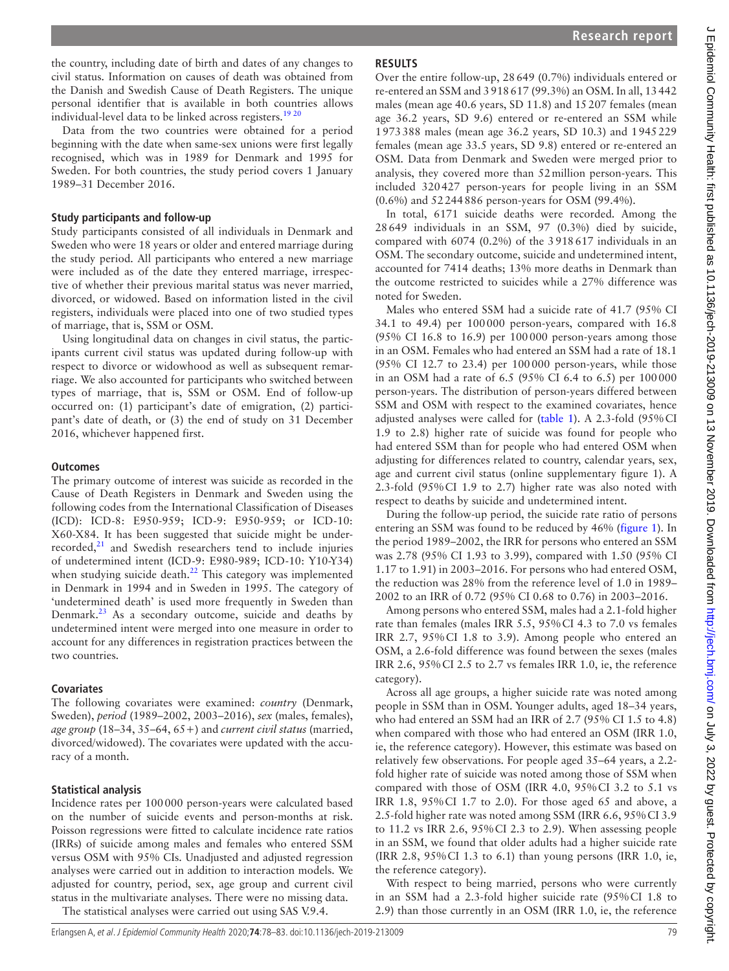the country, including date of birth and dates of any changes to civil status. Information on causes of death was obtained from the Danish and Swedish Cause of Death Registers. The unique personal identifier that is available in both countries allows individual-level data to be linked across registers.<sup>19 20</sup>

Data from the two countries were obtained for a period beginning with the date when same-sex unions were first legally recognised, which was in 1989 for Denmark and 1995 for Sweden. For both countries, the study period covers 1 January 1989–31 December 2016.

#### **Study participants and follow-up**

Study participants consisted of all individuals in Denmark and Sweden who were 18 years or older and entered marriage during the study period. All participants who entered a new marriage were included as of the date they entered marriage, irrespective of whether their previous marital status was never married, divorced, or widowed. Based on information listed in the civil registers, individuals were placed into one of two studied types of marriage, that is, SSM or OSM.

Using longitudinal data on changes in civil status, the participants current civil status was updated during follow-up with respect to divorce or widowhood as well as subsequent remarriage. We also accounted for participants who switched between types of marriage, that is, SSM or OSM. End of follow-up occurred on: (1) participant's date of emigration, (2) participant's date of death, or (3) the end of study on 31 December 2016, whichever happened first.

## **Outcomes**

The primary outcome of interest was suicide as recorded in the Cause of Death Registers in Denmark and Sweden using the following codes from the International Classification of Diseases (ICD): ICD-8: E950-959; ICD-9: E950-959; or ICD-10: X60-X84. It has been suggested that suicide might be under-recorded,<sup>[21](#page-5-9)</sup> and Swedish researchers tend to include injuries of undetermined intent (ICD-9: E980-989; ICD-10: Y10-Y34) when studying suicide death.<sup>22</sup> This category was implemented in Denmark in 1994 and in Sweden in 1995. The category of 'undetermined death' is used more frequently in Sweden than Denmark. $^{23}$  $^{23}$  $^{23}$  As a secondary outcome, suicide and deaths by undetermined intent were merged into one measure in order to account for any differences in registration practices between the two countries.

## **Covariates**

The following covariates were examined: *country* (Denmark, Sweden), *period* (1989–2002, 2003–2016), *sex* (males, females), *age group* (18–34, 35–64, 65+) and *current civil status* (married, divorced/widowed). The covariates were updated with the accuracy of a month.

## **Statistical analysis**

Incidence rates per 100000 person-years were calculated based on the number of suicide events and person-months at risk. Poisson regressions were fitted to calculate incidence rate ratios (IRRs) of suicide among males and females who entered SSM versus OSM with 95% CIs. Unadjusted and adjusted regression analyses were carried out in addition to interaction models. We adjusted for country, period, sex, age group and current civil status in the multivariate analyses. There were no missing data. The statistical analyses were carried out using SAS V.9.4.

### **Results**

Over the entire follow-up, 28649 (0.7%) individuals entered or re-entered an SSM and 3918617 (99.3%) an OSM. In all, 13442 males (mean age 40.6 years, SD 11.8) and 15207 females (mean age 36.2 years, SD 9.6) entered or re-entered an SSM while 1973388 males (mean age 36.2 years, SD 10.3) and 1945229 females (mean age 33.5 years, SD 9.8) entered or re-entered an OSM. Data from Denmark and Sweden were merged prior to analysis, they covered more than 52million person-years. This included 320427 person-years for people living in an SSM (0.6%) and 52244886 person-years for OSM (99.4%).

In total, 6171 suicide deaths were recorded. Among the 28649 individuals in an SSM, 97 (0.3%) died by suicide, compared with 6074 (0.2%) of the 3918617 individuals in an OSM. The secondary outcome, suicide and undetermined intent, accounted for 7414 deaths; 13% more deaths in Denmark than the outcome restricted to suicides while a 27% difference was noted for Sweden.

Males who entered SSM had a suicide rate of 41.7 (95% CI 34.1 to 49.4) per 100000 person-years, compared with 16.8 (95% CI 16.8 to 16.9) per 100000 person-years among those in an OSM. Females who had entered an SSM had a rate of 18.1 (95% CI 12.7 to 23.4) per 100000 person-years, while those in an OSM had a rate of 6.5 (95% CI 6.4 to 6.5) per 100000 person-years. The distribution of person-years differed between SSM and OSM with respect to the examined covariates, hence adjusted analyses were called for ([table](#page-2-0) 1). A 2.3-fold (95%CI 1.9 to 2.8) higher rate of suicide was found for people who had entered SSM than for people who had entered OSM when adjusting for differences related to country, calendar years, sex, age and current civil status ([online supplementary figure 1](https://dx.doi.org/10.1136/jech-2019-213009)). A 2.3-fold (95%CI 1.9 to 2.7) higher rate was also noted with respect to deaths by suicide and undetermined intent.

During the follow-up period, the suicide rate ratio of persons entering an SSM was found to be reduced by 46% ([figure](#page-3-0) 1). In the period 1989–2002, the IRR for persons who entered an SSM was 2.78 (95% CI 1.93 to 3.99), compared with 1.50 (95% CI 1.17 to 1.91) in 2003–2016. For persons who had entered OSM, the reduction was 28% from the reference level of 1.0 in 1989– 2002 to an IRR of 0.72 (95% CI 0.68 to 0.76) in 2003–2016.

Among persons who entered SSM, males had a 2.1-fold higher rate than females (males IRR 5.5, 95%CI 4.3 to 7.0 vs females IRR 2.7, 95%CI 1.8 to 3.9). Among people who entered an OSM, a 2.6-fold difference was found between the sexes (males IRR 2.6, 95%CI 2.5 to 2.7 vs females IRR 1.0, ie, the reference category).

Across all age groups, a higher suicide rate was noted among people in SSM than in OSM. Younger adults, aged 18–34 years, who had entered an SSM had an IRR of 2.7 (95% CI 1.5 to 4.8) when compared with those who had entered an OSM (IRR 1.0, ie, the reference category). However, this estimate was based on relatively few observations. For people aged 35–64 years, a 2.2 fold higher rate of suicide was noted among those of SSM when compared with those of OSM (IRR 4.0, 95%CI 3.2 to 5.1 vs IRR 1.8, 95%CI 1.7 to 2.0). For those aged 65 and above, a 2.5-fold higher rate was noted among SSM (IRR 6.6, 95%CI 3.9 to 11.2 vs IRR 2.6, 95%CI 2.3 to 2.9). When assessing people in an SSM, we found that older adults had a higher suicide rate (IRR 2.8, 95%CI 1.3 to 6.1) than young persons (IRR 1.0, ie, the reference category).

With respect to being married, persons who were currently in an SSM had a 2.3-fold higher suicide rate (95%CI 1.8 to 2.9) than those currently in an OSM (IRR 1.0, ie, the reference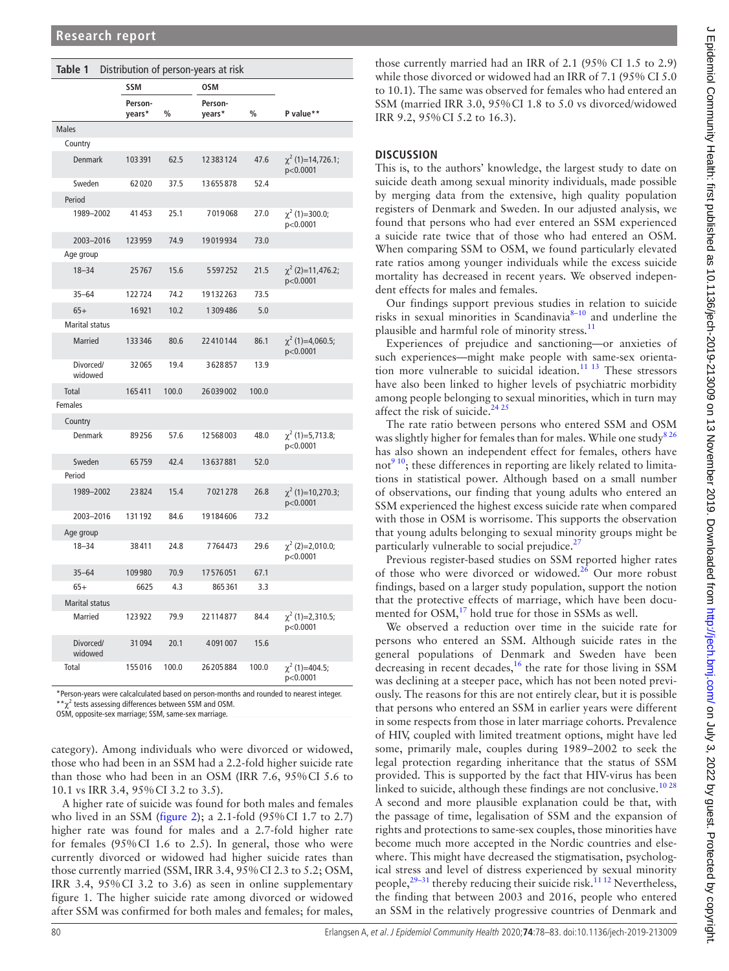<span id="page-2-0"></span>

| Table 1<br>Distribution of person-years at risk |                   |               |                   |               |                                    |  |  |  |  |  |  |
|-------------------------------------------------|-------------------|---------------|-------------------|---------------|------------------------------------|--|--|--|--|--|--|
|                                                 | <b>SSM</b>        |               | 0SM               |               |                                    |  |  |  |  |  |  |
|                                                 | Person-<br>years* | $\frac{0}{0}$ | Person-<br>years* | $\frac{0}{0}$ | P value**                          |  |  |  |  |  |  |
| <b>Males</b>                                    |                   |               |                   |               |                                    |  |  |  |  |  |  |
| Country                                         |                   |               |                   |               |                                    |  |  |  |  |  |  |
| <b>Denmark</b>                                  | 103391            | 62.5          | 12383124          | 47.6          | $\chi^2$ (1)=14,726.1;<br>p<0.0001 |  |  |  |  |  |  |
| Sweden                                          | 62020             | 37.5          | 13655878          | 52.4          |                                    |  |  |  |  |  |  |
| Period                                          |                   |               |                   |               |                                    |  |  |  |  |  |  |
| 1989-2002                                       | 41453             | 25.1          | 7019068           | 27.0          | $\chi^2$ (1)=300.0;<br>p<0.0001    |  |  |  |  |  |  |
| 2003-2016                                       | 123959            | 74.9          | 19019934          | 73.0          |                                    |  |  |  |  |  |  |
| Age group                                       |                   |               |                   |               |                                    |  |  |  |  |  |  |
| $18 - 34$                                       | 25767             | 15.6          | 5597252           | 21.5          | $\chi^2$ (2)=11,476.2;<br>p<0.0001 |  |  |  |  |  |  |
| $35 - 64$                                       | 122724            | 74.2          | 19132263          | 73.5          |                                    |  |  |  |  |  |  |
| $65+$                                           | 16921             | 10.2          | 1309486           | 5.0           |                                    |  |  |  |  |  |  |
| <b>Marital status</b>                           |                   |               |                   |               |                                    |  |  |  |  |  |  |
| <b>Married</b>                                  | 133346            | 80.6          | 22410144          | 86.1          | $\chi^2$ (1)=4,060.5;<br>p<0.0001  |  |  |  |  |  |  |
| Divorced/<br>widowed                            | 32065             | 19.4          | 3628857           | 13.9          |                                    |  |  |  |  |  |  |
| Total                                           | 165411            | 100.0         | 26039002          | 100.0         |                                    |  |  |  |  |  |  |
| Females                                         |                   |               |                   |               |                                    |  |  |  |  |  |  |
| Country                                         |                   |               |                   |               |                                    |  |  |  |  |  |  |
| Denmark                                         | 89256             | 57.6          | 12568003          | 48.0          | $\chi^2$ (1)=5,713.8;<br>p<0.0001  |  |  |  |  |  |  |
| Sweden                                          | 65759             | 42.4          | 13637881          | 52.0          |                                    |  |  |  |  |  |  |
| Period                                          |                   |               |                   |               |                                    |  |  |  |  |  |  |
| 1989-2002                                       | 23824             | 15.4          | 7021278           | 26.8          | $\chi^2$ (1)=10,270.3;<br>p<0.0001 |  |  |  |  |  |  |
| 2003-2016                                       | 131192            | 84.6          | 19184606          | 73.2          |                                    |  |  |  |  |  |  |
| Age group                                       |                   |               |                   |               |                                    |  |  |  |  |  |  |
| $18 - 34$                                       | 38411             | 24.8          | 7764473           | 29.6          | $\chi^2$ (2)=2,010.0;<br>p<0.0001  |  |  |  |  |  |  |
| $35 - 64$                                       | 109980            | 70.9          | 17576051          | 67.1          |                                    |  |  |  |  |  |  |
| $65+$                                           | 6625              | 4.3           | 865361            | 3.3           |                                    |  |  |  |  |  |  |
| <b>Marital status</b>                           |                   |               |                   |               |                                    |  |  |  |  |  |  |
| Married                                         | 123922            | 79.9          | 22114877          | 84.4          | $\chi^2$ (1)=2,310.5;<br>p<0.0001  |  |  |  |  |  |  |
| Divorced/<br>widowed                            | 31094             | 20.1          | 4091007           | 15.6          |                                    |  |  |  |  |  |  |
| Total                                           | 155016            | 100.0         | 26205884          | 100.0         | $\chi^2$ (1)=404.5;<br>p<0.0001    |  |  |  |  |  |  |

\*Person-years were calcalculated based on person-months and rounded to nearest integer.  $*$  $\chi^2$  tests assessing differences between SSM and OSM.

OSM, opposite-sex marriage; SSM, same-sex marriage.

category). Among individuals who were divorced or widowed, those who had been in an SSM had a 2.2-fold higher suicide rate than those who had been in an OSM (IRR 7.6, 95%CI 5.6 to 10.1 vs IRR 3.4, 95%CI 3.2 to 3.5).

A higher rate of suicide was found for both males and females who lived in an SSM ([figure](#page-4-0) 2); a 2.1-fold (95%CI 1.7 to 2.7) higher rate was found for males and a 2.7-fold higher rate for females (95%CI 1.6 to 2.5). In general, those who were currently divorced or widowed had higher suicide rates than those currently married (SSM, IRR 3.4, 95%CI 2.3 to 5.2; OSM, IRR 3.4, 95%CI 3.2 to 3.6) as seen in [online supplementary](https://dx.doi.org/10.1136/jech-2019-213009)  [figure 1](https://dx.doi.org/10.1136/jech-2019-213009). The higher suicide rate among divorced or widowed after SSM was confirmed for both males and females; for males,

### **Discussion**

This is, to the authors' knowledge, the largest study to date on suicide death among sexual minority individuals, made possible by merging data from the extensive, high quality population registers of Denmark and Sweden. In our adjusted analysis, we found that persons who had ever entered an SSM experienced a suicide rate twice that of those who had entered an OSM. When comparing SSM to OSM, we found particularly elevated rate ratios among younger individuals while the excess suicide mortality has decreased in recent years. We observed independent effects for males and females.

Our findings support previous studies in relation to suicide risks in sexual minorities in Scandinavia<sup>8-10</sup> and underline the plausible and harmful role of minority stress.<sup>[11](#page-5-4)</sup>

Experiences of prejudice and sanctioning—or anxieties of such experiences—might make people with same-sex orientation more vulnerable to suicidal ideation.[11 13](#page-5-4) These stressors have also been linked to higher levels of psychiatric morbidity among people belonging to sexual minorities, which in turn may affect the risk of suicide.<sup>24 25</sup>

The rate ratio between persons who entered SSM and OSM was slightly higher for females than for males. While one study<sup>826</sup> has also shown an independent effect for females, others have not<sup>[9 10](#page-5-13)</sup>; these differences in reporting are likely related to limitations in statistical power. Although based on a small number of observations, our finding that young adults who entered an SSM experienced the highest excess suicide rate when compared with those in OSM is worrisome. This supports the observation that young adults belonging to sexual minority groups might be particularly vulnerable to social prejudice. $27$ 

Previous register-based studies on SSM reported higher rates of those who were divorced or widowed.<sup>26</sup> Our more robust findings, based on a larger study population, support the notion that the protective effects of marriage, which have been documented for OSM,<sup>17</sup> hold true for those in SSMs as well.

We observed a reduction over time in the suicide rate for persons who entered an SSM. Although suicide rates in the general populations of Denmark and Sweden have been decreasing in recent decades, $^{16}$  $^{16}$  $^{16}$  the rate for those living in SSM was declining at a steeper pace, which has not been noted previously. The reasons for this are not entirely clear, but it is possible that persons who entered an SSM in earlier years were different in some respects from those in later marriage cohorts. Prevalence of HIV, coupled with limited treatment options, might have led some, primarily male, couples during 1989–2002 to seek the legal protection regarding inheritance that the status of SSM provided. This is supported by the fact that HIV-virus has been linked to suicide, although these findings are not conclusive.<sup>1028</sup> A second and more plausible explanation could be that, with the passage of time, legalisation of SSM and the expansion of rights and protections to same-sex couples, those minorities have become much more accepted in the Nordic countries and elsewhere. This might have decreased the stigmatisation, psychological stress and level of distress experienced by sexual minority people,<sup>29-31</sup> thereby reducing their suicide risk.<sup>11 12</sup> Nevertheless, the finding that between 2003 and 2016, people who entered an SSM in the relatively progressive countries of Denmark and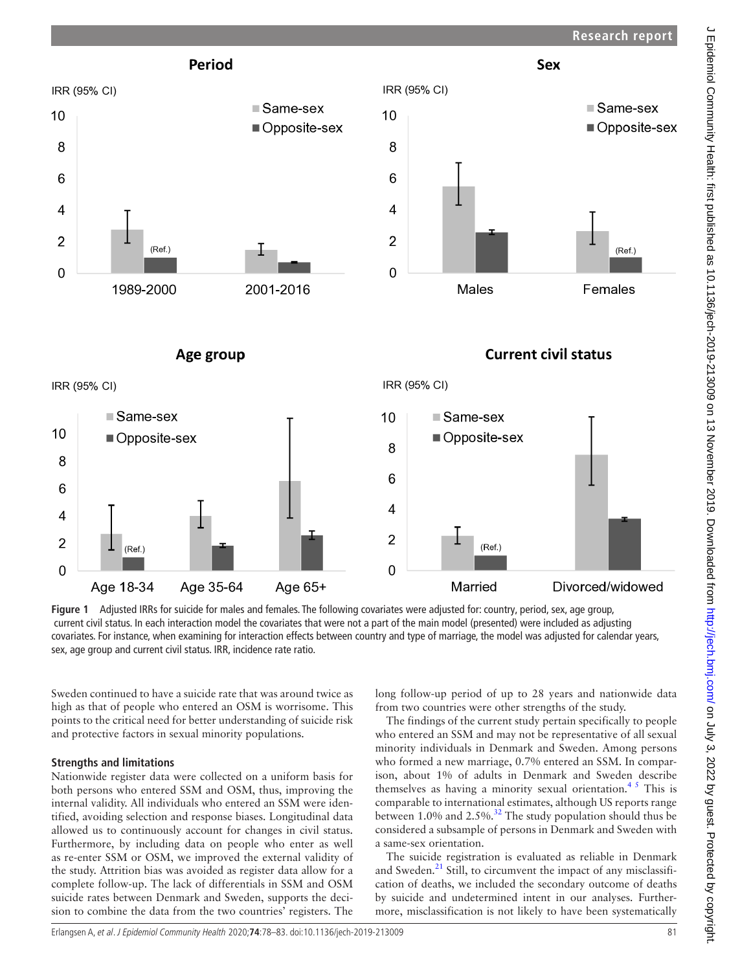



<span id="page-3-0"></span>**Figure 1** Adjusted IRRs for suicide for males and females. The following covariates were adjusted for: country, period, sex, age group, current civil status. In each interaction model the covariates that were not a part of the main model (presented) were included as adjusting covariates. For instance, when examining for interaction effects between country and type of marriage, the model was adjusted for calendar years, sex, age group and current civil status. IRR, incidence rate ratio.

Sweden continued to have a suicide rate that was around twice as high as that of people who entered an OSM is worrisome. This points to the critical need for better understanding of suicide risk and protective factors in sexual minority populations.

#### **Strengths and limitations**

Nationwide register data were collected on a uniform basis for both persons who entered SSM and OSM, thus, improving the internal validity. All individuals who entered an SSM were identified, avoiding selection and response biases. Longitudinal data allowed us to continuously account for changes in civil status. Furthermore, by including data on people who enter as well as re-enter SSM or OSM, we improved the external validity of the study. Attrition bias was avoided as register data allow for a complete follow-up. The lack of differentials in SSM and OSM suicide rates between Denmark and Sweden, supports the decision to combine the data from the two countries' registers. The long follow-up period of up to 28 years and nationwide data from two countries were other strengths of the study.

The findings of the current study pertain specifically to people who entered an SSM and may not be representative of all sexual minority individuals in Denmark and Sweden. Among persons who formed a new marriage, 0.7% entered an SSM. In comparison, about 1% of adults in Denmark and Sweden describe themselves as having a minority sexual orientation.<sup>45</sup> This is comparable to international estimates, although US reports range between 1.0% and 2.5%.<sup>[32](#page-5-21)</sup> The study population should thus be considered a subsample of persons in Denmark and Sweden with a same-sex orientation.

The suicide registration is evaluated as reliable in Denmark and Sweden.<sup>[21](#page-5-9)</sup> Still, to circumvent the impact of any misclassification of deaths, we included the secondary outcome of deaths by suicide and undetermined intent in our analyses. Furthermore, misclassification is not likely to have been systematically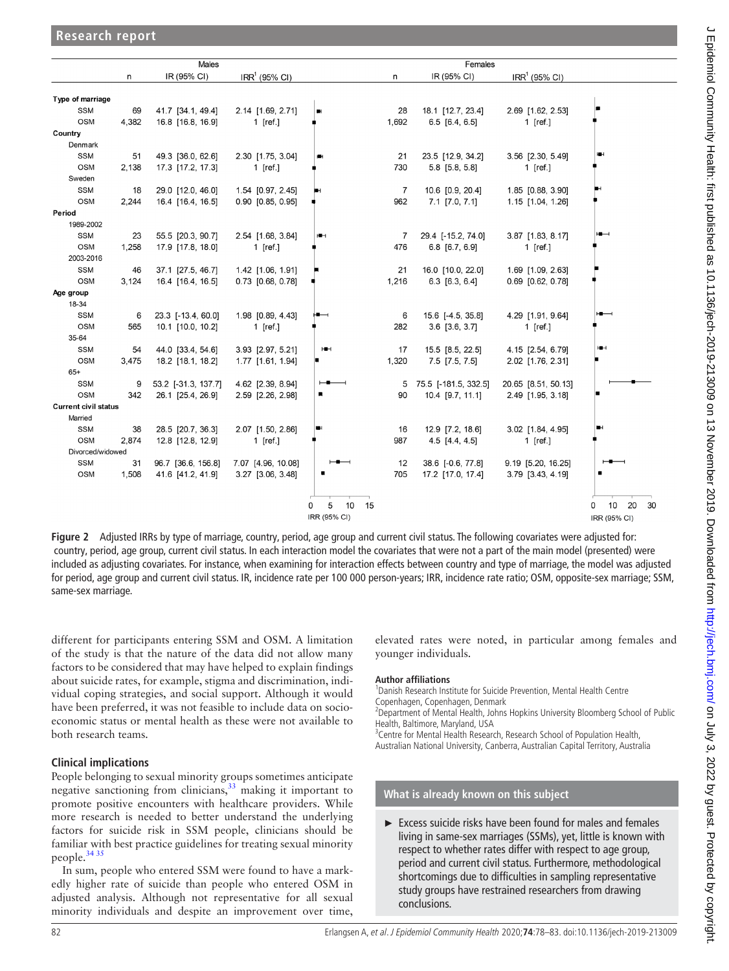|                             | Males |                     |                       | Females            |       |                         |                     |                                  |
|-----------------------------|-------|---------------------|-----------------------|--------------------|-------|-------------------------|---------------------|----------------------------------|
|                             | n     | IR (95% CI)         | $IRR1$ (95% CI)       |                    | n     | IR (95% CI)             | $IRR1$ (95% CI)     |                                  |
| Type of marriage            |       |                     |                       |                    |       |                         |                     |                                  |
| <b>SSM</b>                  | 69    | 41.7 [34.1, 49.4]   | 2.14 [1.69, 2.71]     | 刪                  | 28    | 18.1 [12.7, 23.4]       | 2.69 [1.62, 2.53]   |                                  |
| <b>OSM</b>                  | 4,382 | 16.8 [16.8, 16.9]   | 1 $[ref.]$            |                    | 1,692 | $6.5$ [6.4, 6.5]        | 1 $[ref.]$          |                                  |
| Country                     |       |                     |                       |                    |       |                         |                     |                                  |
| Denmark                     |       |                     |                       |                    |       |                         |                     |                                  |
| <b>SSM</b>                  | 51    | 49.3 [36.0, 62.6]   | 2.30 [1.75, 3.04]     |                    | 21    | 23.5 [12.9, 34.2]       | 3.56 [2.30, 5.49]   |                                  |
| <b>OSM</b>                  | 2.138 | 17.3 [17.2, 17.3]   | 1 $[ref.]$            |                    | 730   | 5.8 [5.8, 5.8]          | 1 $[ref.]$          |                                  |
| Sweden                      |       |                     |                       |                    |       |                         |                     |                                  |
| <b>SSM</b>                  | 18    | 29.0 [12.0, 46.0]   | 1.54 [0.97, 2.45]     |                    | 7     | 10.6 [0.9, 20.4]        | 1.85 [0.88, 3.90]   |                                  |
| <b>OSM</b>                  | 2,244 | 16.4 [16.4, 16.5]   | $0.90$ $[0.85, 0.95]$ |                    | 962   | $7.1$ [7.0, 7.1]        | 1.15 [1.04, 1.26]   |                                  |
| Period                      |       |                     |                       |                    |       |                         |                     |                                  |
| 1989-2002                   |       |                     |                       |                    |       |                         |                     |                                  |
| <b>SSM</b>                  | 23    | 55.5 [20.3, 90.7]   | 2.54 [1.68, 3.84]     | HН                 | 7     | 29.4 [-15.2, 74.0]      | 3.87 [1.83, 8.17]   | $\overline{\phantom{a}}$         |
| <b>OSM</b>                  | 1,258 | 17.9 [17.8, 18.0]   | 1 [ref.]              |                    | 476   | 6.8 [6.7, 6.9]          | 1 [ref.]            |                                  |
| 2003-2016                   |       |                     |                       |                    |       |                         |                     |                                  |
| <b>SSM</b>                  | 46    | 37.1 [27.5, 46.7]   | 1.42 [1.06, 1.91]     |                    | 21    | 16.0 [10.0, 22.0]       | 1.69 [1.09, 2.63]   |                                  |
| <b>OSM</b>                  | 3,124 | 16.4 [16.4, 16.5]   | 0.73 [0.68, 0.78]     |                    | 1,216 | $6.3$ [6.3, 6.4]        | 0.69 [0.62, 0.78]   |                                  |
| Age group                   |       |                     |                       |                    |       |                         |                     |                                  |
| 18-34                       |       |                     |                       |                    |       |                         |                     |                                  |
| <b>SSM</b>                  | 6     | 23.3 [-13.4, 60.0]  | 1.98 [0.89, 4.43]     |                    | 6     | 15.6 [-4.5, 35.8]       | 4.29 [1.91, 9.64]   |                                  |
| <b>OSM</b>                  | 565   | 10.1 [10.0, 10.2]   | 1 $[ref.]$            |                    | 282   | $3.6$ [ $3.6$ , $3.7$ ] | 1 $[ref.]$          |                                  |
| 35-64                       |       |                     |                       |                    |       |                         |                     |                                  |
| <b>SSM</b>                  | 54    | 44.0 [33.4, 54.6]   | 3.93 [2.97, 5.21]     | юн                 | 17    | 15.5 [8.5, 22.5]        | 4.15 [2.54, 6.79]   | HН                               |
| <b>OSM</b>                  | 3.475 | 18.2 [18.1, 18.2]   | 1.77 [1.61, 1.94]     |                    | 1,320 | $7.5$ $[7.5, 7.5]$      | 2.02 [1.76, 2.31]   |                                  |
| $65+$                       |       |                     |                       |                    |       |                         |                     |                                  |
| <b>SSM</b>                  | 9     | 53.2 [-31.3, 137.7] | 4.62 [2.39, 8.94]     |                    | 5     | 75.5 [-181.5, 332.5]    | 20.65 [8.51, 50.13] |                                  |
| <b>OSM</b>                  | 342   | 26.1 [25.4, 26.9]   | 2.59 [2.26, 2.98]     |                    | 90    | 10.4 [9.7, 11.1]        | 2.49 [1.95, 3.18]   |                                  |
| <b>Current civil status</b> |       |                     |                       |                    |       |                         |                     |                                  |
| Married                     |       |                     |                       |                    |       |                         |                     |                                  |
| <b>SSM</b>                  | 38    | 28.5 [20.7, 36.3]   | 2.07 [1.50, 2.86]     |                    | 16    | 12.9 [7.2, 18.6]        | 3.02 [1.84, 4.95]   |                                  |
| OSM                         | 2,874 | 12.8 [12.8, 12.9]   | 1 $[ref.]$            |                    | 987   | $4.5$ [4.4, 4.5]        | 1 $[ref.]$          |                                  |
| Divorced/widowed            |       |                     |                       |                    |       |                         |                     |                                  |
| <b>SSM</b>                  | 31    | 96.7 [36.6, 156.8]  | 7.07 [4.96, 10.08]    |                    | 12    | 38.6 [-0.6, 77.8]       | 9.19 [5.20, 16.25]  |                                  |
| <b>OSM</b>                  | 1,508 | 41.6 [41.2, 41.9]   | 3.27 [3.06, 3.48]     |                    | 705   | 17.2 [17.0, 17.4]       | 3.79 [3.43, 4.19]   |                                  |
|                             |       |                     |                       | 5<br>10<br>15<br>0 |       |                         |                     | 10 <sub>1</sub><br>20<br>30<br>0 |
|                             |       |                     |                       | IRR (95% CI)       |       |                         |                     | IRR (95% CI)                     |

<span id="page-4-0"></span>**Figure 2** Adjusted IRRs by type of marriage, country, period, age group and current civil status. The following covariates were adjusted for: country, period, age group, current civil status. In each interaction model the covariates that were not a part of the main model (presented) were included as adjusting covariates. For instance, when examining for interaction effects between country and type of marriage, the model was adjusted for period, age group and current civil status. IR, incidence rate per 100 000 person-years; IRR, incidence rate ratio; OSM, opposite-sex marriage; SSM, same-sex marriage.

different for participants entering SSM and OSM. A limitation of the study is that the nature of the data did not allow many factors to be considered that may have helped to explain findings about suicide rates, for example, stigma and discrimination, individual coping strategies, and social support. Although it would have been preferred, it was not feasible to include data on socioeconomic status or mental health as these were not available to both research teams.

## **Clinical implications**

**Research report**

People belonging to sexual minority groups sometimes anticipate negative sanctioning from clinicians,  $\frac{3}{3}$  making it important to promote positive encounters with healthcare providers. While more research is needed to better understand the underlying factors for suicide risk in SSM people, clinicians should be familiar with best practice guidelines for treating sexual minority people.[34 35](#page-5-23)

In sum, people who entered SSM were found to have a markedly higher rate of suicide than people who entered OSM in adjusted analysis. Although not representative for all sexual minority individuals and despite an improvement over time,

elevated rates were noted, in particular among females and younger individuals.

#### **Author affiliations**

1 Danish Research Institute for Suicide Prevention, Mental Health Centre Copenhagen, Copenhagen, Denmark

<sup>2</sup>Department of Mental Health, Johns Hopkins University Bloomberg School of Public Health, Baltimore, Maryland, USA

<sup>3</sup> Centre for Mental Health Research, Research School of Population Health, Australian National University, Canberra, Australian Capital Territory, Australia

## **What is already known on this subject**

► Excess suicide risks have been found for males and females living in same-sex marriages (SSMs), yet, little is known with respect to whether rates differ with respect to age group, period and current civil status. Furthermore, methodological shortcomings due to difficulties in sampling representative study groups have restrained researchers from drawing conclusions.